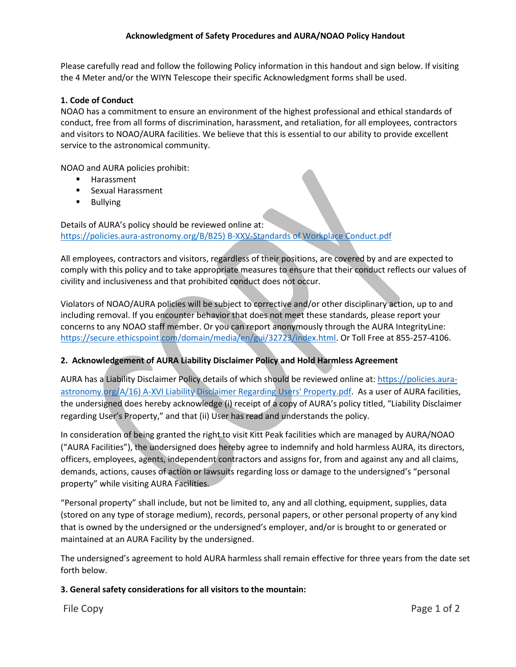# **Acknowledgment of Safety Procedures and AURA/NOAO Policy Handout**

Please carefully read and follow the following Policy information in this handout and sign below. If visiting the 4 Meter and/or the WIYN Telescope their specific Acknowledgment forms shall be used.

#### **1. Code of Conduct**

NOAO has a commitment to ensure an environment of the highest professional and ethical standards of conduct, free from all forms of discrimination, harassment, and retaliation, for all employees, contractors and visitors to NOAO/AURA facilities. We believe that this is essential to our ability to provide excellent service to the astronomical community.

NOAO and AURA policies prohibit:

- **Harassment**
- **EXALLE Sexual Harassment**
- **Bullying**

Details of AURA's policy should be reviewed online at: [https://policies.aura-astronomy.org/B/B25\) B-XXV-Standards of Workplace Conduct.pdf](https://policies.aura-astronomy.org/B/B25)%20B-XXV-Standards%20of%20Workplace%20Conduct.pdf)

All employees, contractors and visitors, regardless of their positions, are covered by and are expected to comply with this policy and to take appropriate measures to ensure that their conduct reflects our values of civility and inclusiveness and that prohibited conduct does not occur.

Violators of NOAO/AURA policies will be subject to corrective and/or other disciplinary action, up to and including removal. If you encounter behavior that does not meet these standards, please report your concerns to any NOAO staff member. Or you can report anonymously through the AURA IntegrityLine: [https://secure.ethicspoint.com/domain/media/en/gui/32723/index.html.](https://secure.ethicspoint.com/domain/media/en/gui/32723/index.html) Or Toll Free at 855-257-4106.

# **2. Acknowledgement of AURA Liability Disclaimer Policy and Hold Harmless Agreement**

AURA has a Liability Disclaimer Policy details of which should be reviewed online at: [https://policies.aura](https://policies.aura-astronomy.org/A/16)%20A-XVI%20Liability%20Disclaimer%20Regarding%20Users)[astronomy.org/A/16\) A-XVI Liability Disclaimer Regarding Users' Property.pdf.](https://policies.aura-astronomy.org/A/16)%20A-XVI%20Liability%20Disclaimer%20Regarding%20Users) As a user of AURA facilities, the undersigned does hereby acknowledge (i) receipt of a copy of AURA's policy titled, "Liability Disclaimer regarding User's Property," and that (ii) User has read and understands the policy.

In consideration of being granted the right to visit Kitt Peak facilities which are managed by AURA/NOAO ("AURA Facilities"), the undersigned does hereby agree to indemnify and hold harmless AURA, its directors, officers, employees, agents, independent contractors and assigns for, from and against any and all claims, demands, actions, causes of action or lawsuits regarding loss or damage to the undersigned's "personal property" while visiting AURA Facilities.

"Personal property" shall include, but not be limited to, any and all clothing, equipment, supplies, data (stored on any type of storage medium), records, personal papers, or other personal property of any kind that is owned by the undersigned or the undersigned's employer, and/or is brought to or generated or maintained at an AURA Facility by the undersigned.

The undersigned's agreement to hold AURA harmless shall remain effective for three years from the date set forth below.

# **3. General safety considerations for all visitors to the mountain:**